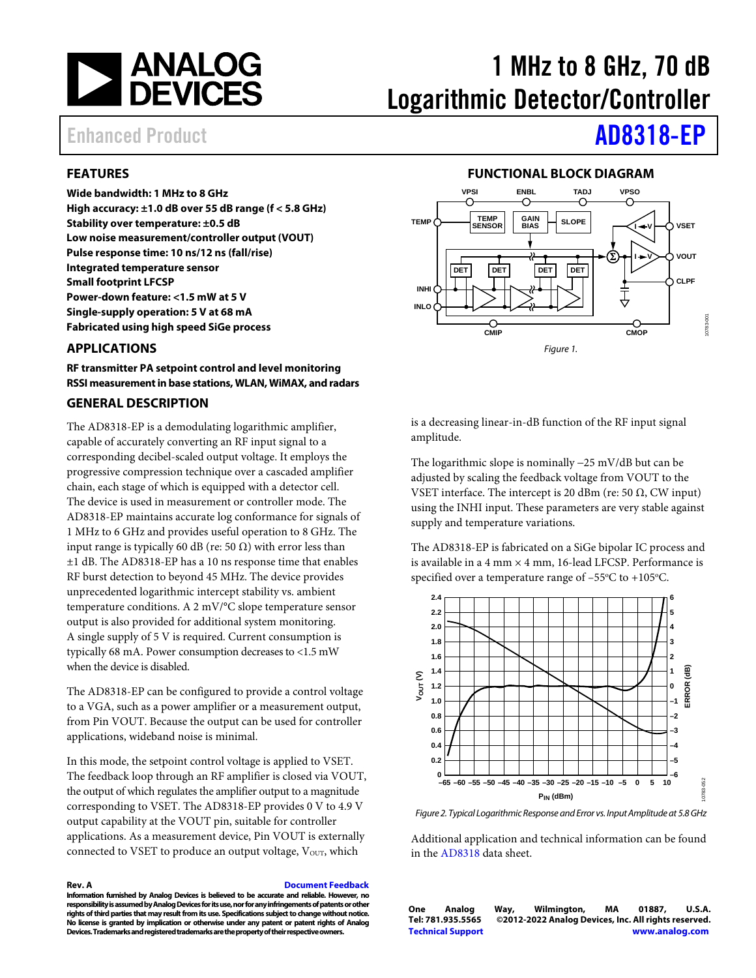

# 1 MHz to 8 GHz, 70 dB Logarithmic Detector/Controller

## Enhanced Product **[AD8318-EP](https://www.analog.com/AD8318)**

### <span id="page-0-0"></span>**FEATURES**

**Wide bandwidth: 1 MHz to 8 GHz**

**High accuracy: ±1.0 dB over 55 dB range (f < 5.8 GHz) Stability over temperature: ±0.5 dB Low noise measurement/controller output (VOUT) Pulse response time: 10 ns/12 ns (fall/rise) Integrated temperature sensor Small footprint LFCSP Power-down feature: <1.5 mW at 5 V Single-supply operation: 5 V at 68 mA Fabricated using high speed SiGe process**

### <span id="page-0-1"></span>**APPLICATIONS**

**RF transmitter PA setpoint control and level monitoring RSSI measurement in base stations, WLAN, WiMAX, and radars**

### <span id="page-0-3"></span>**GENERAL DESCRIPTION**

The AD8318-EP is a demodulating logarithmic amplifier, capable of accurately converting an RF input signal to a corresponding decibel-scaled output voltage. It employs the progressive compression technique over a cascaded amplifier chain, each stage of which is equipped with a detector cell. The device is used in measurement or controller mode. The AD8318-EP maintains accurate log conformance for signals of 1 MHz to 6 GHz and provides useful operation to 8 GHz. The input range is typically 60 dB (re: 50  $\Omega$ ) with error less than ±1 dB. The AD8318-EP has a 10 ns response time that enables RF burst detection to beyond 45 MHz. The device provides unprecedented logarithmic intercept stability vs. ambient temperature conditions. A 2 mV/°C slope temperature sensor output is also provided for additional system monitoring. A single supply of 5 V is required. Current consumption is typically 68 mA. Power consumption decreases to <1.5 mW when the device is disabled.

The AD8318-EP can be configured to provide a control voltage to a VGA, such as a power amplifier or a measurement output, from Pin VOUT. Because the output can be used for controller applications, wideband noise is minimal.

In this mode, the setpoint control voltage is applied to VSET. The feedback loop through an RF amplifier is closed via VOUT, the output of which regulates the amplifier output to a magnitude corresponding to VSET. The AD8318-EP provides 0 V to 4.9 V output capability at the VOUT pin, suitable for controller applications. As a measurement device, Pin VOUT is externally connected to VSET to produce an output voltage,  $V<sub>OUT</sub>$ , which

**Rev. A [Document Feedback](https://form.analog.com/Form_Pages/feedback/documentfeedback.aspx?doc=AD8318-EP.pdf&product=AD8318-EP&rev=A)**

**Information furnished by Analog Devices is believed to be accurate and reliable. However, no responsibility is assumed by Analog Devices for its use, nor for any infringements of patents or other rights of third parties that may result from its use. Specifications subject to change without notice. No license is granted by implication or otherwise under any patent or patent rights of Analog Devices. Trademarks and registered trademarks are the property of their respective owners.**

### **FUNCTIONAL BLOCK DIAGRAM**

<span id="page-0-2"></span>

is a decreasing linear-in-dB function of the RF input signal amplitude.

The logarithmic slope is nominally −25 mV/dB but can be adjusted by scaling the feedback voltage from VOUT to the VSET interface. The intercept is 20 dBm (re: 50 Ω, CW input) using the INHI input. These parameters are very stable against supply and temperature variations.

The AD8318-EP is fabricated on a SiGe bipolar IC process and is available in a 4 mm  $\times$  4 mm, 16-lead LFCSP. Performance is specified over a temperature range of  $-55^{\circ}$ C to  $+105^{\circ}$ C.



*Figure 2. Typical Logarithmic Response and Error vs. Input Amplitude at 5.8GHz*

Additional application and technical information can be found in the [AD8318](http://www.analog.com/AD8318) data sheet.

**One Analog Way, Wilmington, MA 01887, U.S.A. Tel: 781.935.5565 ©2012-2022 Analog Devices, Inc. All rights reserved. [Technical Support](http://www.analog.com/en/content/technical_support_page/fca.html) [www.analog.com](http://www.analog.com/)**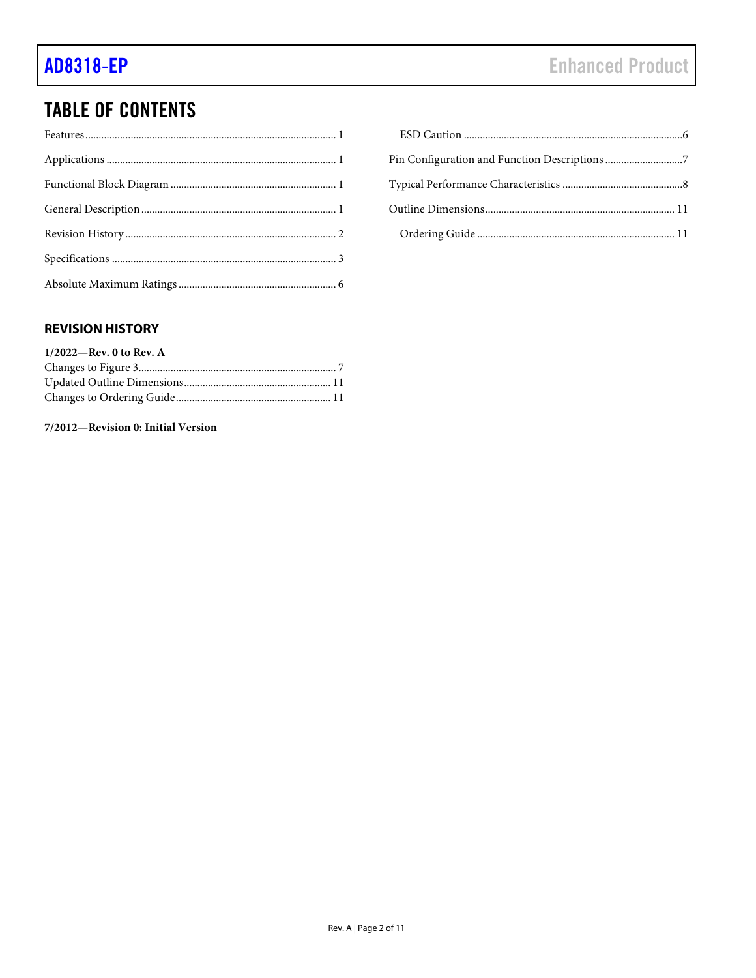## **TABLE OF CONTENTS**

### <span id="page-1-0"></span>**REVISION HISTORY**

| $1/2022$ —Rev. 0 to Rev. A |  |
|----------------------------|--|
|                            |  |
|                            |  |
|                            |  |

### 7/2012-Revision 0: Initial Version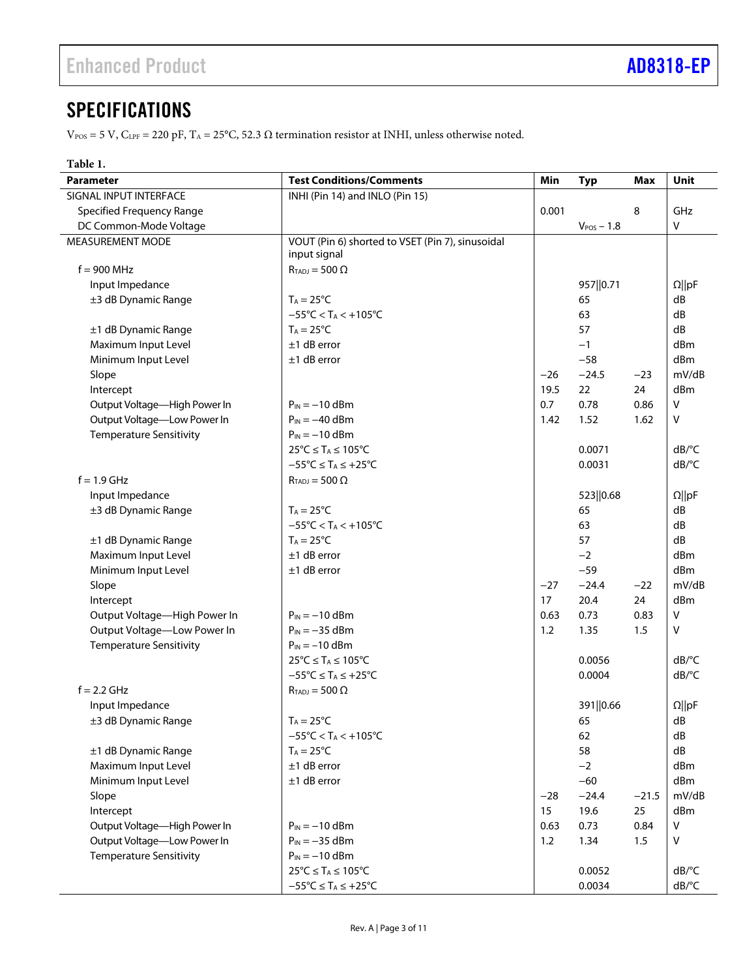## <span id="page-2-0"></span>**SPECIFICATIONS**

 $V_{\rm POS}$  = 5 V, C<sub>LPF</sub> = 220 pF, T<sub>A</sub> = 25°C, 52.3 Ω termination resistor at INHI, unless otherwise noted.

| <b>Test Conditions/Comments</b><br>Min<br>Unit<br><b>Parameter</b><br><b>Typ</b><br><b>Max</b><br>SIGNAL INPUT INTERFACE<br>INHI (Pin 14) and INLO (Pin 15)<br>0.001<br>GHz<br><b>Specified Frequency Range</b><br>8<br>DC Common-Mode Voltage<br>v<br>$V_{POS}$ – 1.8<br>VOUT (Pin 6) shorted to VSET (Pin 7), sinusoidal<br>MEASUREMENT MODE<br>input signal<br>$f = 900$ MHz<br>$R_{TADJ} = 500 \Omega$<br>957  0.71<br>$\Omega$   pF<br>Input Impedance<br>65<br>dB<br>±3 dB Dynamic Range<br>$T_A = 25^{\circ}C$<br>dB<br>$-55^{\circ}$ C < T <sub>A</sub> < +105 $^{\circ}$ C<br>63<br>dB<br>57<br>±1 dB Dynamic Range<br>$T_A = 25^{\circ}C$<br>Maximum Input Level<br>$±1$ dB error<br>$-1$<br>dBm<br>Minimum Input Level<br>$-58$<br>$±1$ dB error<br>dBm<br>$-26$<br>$-24.5$<br>mV/dB<br>Slope<br>$-23$<br>19.5<br>22<br>24<br>dBm<br>Intercept<br>Output Voltage-High Power In<br>0.7<br>$\sf V$<br>$P_{IN} = -10$ dBm<br>0.78<br>0.86<br>Output Voltage-Low Power In<br>$\mathsf{V}$<br>$P_{IN} = -40$ dBm<br>1.42<br>1.52<br>1.62<br><b>Temperature Sensitivity</b><br>$P_{IN} = -10$ dBm<br>$25^{\circ}C \leq T_A \leq 105^{\circ}C$<br>dB/°C<br>0.0071<br>$-55^{\circ}$ C $\leq$ T <sub>A</sub> $\leq$ +25°C<br>dB/°C<br>0.0031<br>$f = 1.9$ GHz<br>$R_{TADJ} = 500 \Omega$<br>Input Impedance<br>523  0.68<br>$\Omega$   pF<br>±3 dB Dynamic Range<br>dB<br>$T_A = 25^{\circ}C$<br>65<br>63<br>dB<br>$-55^{\circ}$ C < T <sub>A</sub> < $+105^{\circ}$ C<br>±1 dB Dynamic Range<br>$T_A = 25^{\circ}C$<br>57<br>dB<br>Maximum Input Level<br>$±1$ dB error<br>$-2$<br>dBm |
|-------------------------------------------------------------------------------------------------------------------------------------------------------------------------------------------------------------------------------------------------------------------------------------------------------------------------------------------------------------------------------------------------------------------------------------------------------------------------------------------------------------------------------------------------------------------------------------------------------------------------------------------------------------------------------------------------------------------------------------------------------------------------------------------------------------------------------------------------------------------------------------------------------------------------------------------------------------------------------------------------------------------------------------------------------------------------------------------------------------------------------------------------------------------------------------------------------------------------------------------------------------------------------------------------------------------------------------------------------------------------------------------------------------------------------------------------------------------------------------------------------------------------------------------------------------------------------------------|
|                                                                                                                                                                                                                                                                                                                                                                                                                                                                                                                                                                                                                                                                                                                                                                                                                                                                                                                                                                                                                                                                                                                                                                                                                                                                                                                                                                                                                                                                                                                                                                                           |
|                                                                                                                                                                                                                                                                                                                                                                                                                                                                                                                                                                                                                                                                                                                                                                                                                                                                                                                                                                                                                                                                                                                                                                                                                                                                                                                                                                                                                                                                                                                                                                                           |
|                                                                                                                                                                                                                                                                                                                                                                                                                                                                                                                                                                                                                                                                                                                                                                                                                                                                                                                                                                                                                                                                                                                                                                                                                                                                                                                                                                                                                                                                                                                                                                                           |
|                                                                                                                                                                                                                                                                                                                                                                                                                                                                                                                                                                                                                                                                                                                                                                                                                                                                                                                                                                                                                                                                                                                                                                                                                                                                                                                                                                                                                                                                                                                                                                                           |
|                                                                                                                                                                                                                                                                                                                                                                                                                                                                                                                                                                                                                                                                                                                                                                                                                                                                                                                                                                                                                                                                                                                                                                                                                                                                                                                                                                                                                                                                                                                                                                                           |
|                                                                                                                                                                                                                                                                                                                                                                                                                                                                                                                                                                                                                                                                                                                                                                                                                                                                                                                                                                                                                                                                                                                                                                                                                                                                                                                                                                                                                                                                                                                                                                                           |
|                                                                                                                                                                                                                                                                                                                                                                                                                                                                                                                                                                                                                                                                                                                                                                                                                                                                                                                                                                                                                                                                                                                                                                                                                                                                                                                                                                                                                                                                                                                                                                                           |
|                                                                                                                                                                                                                                                                                                                                                                                                                                                                                                                                                                                                                                                                                                                                                                                                                                                                                                                                                                                                                                                                                                                                                                                                                                                                                                                                                                                                                                                                                                                                                                                           |
|                                                                                                                                                                                                                                                                                                                                                                                                                                                                                                                                                                                                                                                                                                                                                                                                                                                                                                                                                                                                                                                                                                                                                                                                                                                                                                                                                                                                                                                                                                                                                                                           |
|                                                                                                                                                                                                                                                                                                                                                                                                                                                                                                                                                                                                                                                                                                                                                                                                                                                                                                                                                                                                                                                                                                                                                                                                                                                                                                                                                                                                                                                                                                                                                                                           |
|                                                                                                                                                                                                                                                                                                                                                                                                                                                                                                                                                                                                                                                                                                                                                                                                                                                                                                                                                                                                                                                                                                                                                                                                                                                                                                                                                                                                                                                                                                                                                                                           |
|                                                                                                                                                                                                                                                                                                                                                                                                                                                                                                                                                                                                                                                                                                                                                                                                                                                                                                                                                                                                                                                                                                                                                                                                                                                                                                                                                                                                                                                                                                                                                                                           |
|                                                                                                                                                                                                                                                                                                                                                                                                                                                                                                                                                                                                                                                                                                                                                                                                                                                                                                                                                                                                                                                                                                                                                                                                                                                                                                                                                                                                                                                                                                                                                                                           |
|                                                                                                                                                                                                                                                                                                                                                                                                                                                                                                                                                                                                                                                                                                                                                                                                                                                                                                                                                                                                                                                                                                                                                                                                                                                                                                                                                                                                                                                                                                                                                                                           |
|                                                                                                                                                                                                                                                                                                                                                                                                                                                                                                                                                                                                                                                                                                                                                                                                                                                                                                                                                                                                                                                                                                                                                                                                                                                                                                                                                                                                                                                                                                                                                                                           |
|                                                                                                                                                                                                                                                                                                                                                                                                                                                                                                                                                                                                                                                                                                                                                                                                                                                                                                                                                                                                                                                                                                                                                                                                                                                                                                                                                                                                                                                                                                                                                                                           |
|                                                                                                                                                                                                                                                                                                                                                                                                                                                                                                                                                                                                                                                                                                                                                                                                                                                                                                                                                                                                                                                                                                                                                                                                                                                                                                                                                                                                                                                                                                                                                                                           |
|                                                                                                                                                                                                                                                                                                                                                                                                                                                                                                                                                                                                                                                                                                                                                                                                                                                                                                                                                                                                                                                                                                                                                                                                                                                                                                                                                                                                                                                                                                                                                                                           |
|                                                                                                                                                                                                                                                                                                                                                                                                                                                                                                                                                                                                                                                                                                                                                                                                                                                                                                                                                                                                                                                                                                                                                                                                                                                                                                                                                                                                                                                                                                                                                                                           |
|                                                                                                                                                                                                                                                                                                                                                                                                                                                                                                                                                                                                                                                                                                                                                                                                                                                                                                                                                                                                                                                                                                                                                                                                                                                                                                                                                                                                                                                                                                                                                                                           |
|                                                                                                                                                                                                                                                                                                                                                                                                                                                                                                                                                                                                                                                                                                                                                                                                                                                                                                                                                                                                                                                                                                                                                                                                                                                                                                                                                                                                                                                                                                                                                                                           |
|                                                                                                                                                                                                                                                                                                                                                                                                                                                                                                                                                                                                                                                                                                                                                                                                                                                                                                                                                                                                                                                                                                                                                                                                                                                                                                                                                                                                                                                                                                                                                                                           |
|                                                                                                                                                                                                                                                                                                                                                                                                                                                                                                                                                                                                                                                                                                                                                                                                                                                                                                                                                                                                                                                                                                                                                                                                                                                                                                                                                                                                                                                                                                                                                                                           |
|                                                                                                                                                                                                                                                                                                                                                                                                                                                                                                                                                                                                                                                                                                                                                                                                                                                                                                                                                                                                                                                                                                                                                                                                                                                                                                                                                                                                                                                                                                                                                                                           |
|                                                                                                                                                                                                                                                                                                                                                                                                                                                                                                                                                                                                                                                                                                                                                                                                                                                                                                                                                                                                                                                                                                                                                                                                                                                                                                                                                                                                                                                                                                                                                                                           |
|                                                                                                                                                                                                                                                                                                                                                                                                                                                                                                                                                                                                                                                                                                                                                                                                                                                                                                                                                                                                                                                                                                                                                                                                                                                                                                                                                                                                                                                                                                                                                                                           |
| Minimum Input Level<br>$-59$<br>dBm<br>$±1$ dB error                                                                                                                                                                                                                                                                                                                                                                                                                                                                                                                                                                                                                                                                                                                                                                                                                                                                                                                                                                                                                                                                                                                                                                                                                                                                                                                                                                                                                                                                                                                                      |
| $-24.4$<br>mV/dB<br>Slope<br>$-27$<br>$-22$                                                                                                                                                                                                                                                                                                                                                                                                                                                                                                                                                                                                                                                                                                                                                                                                                                                                                                                                                                                                                                                                                                                                                                                                                                                                                                                                                                                                                                                                                                                                               |
| 17<br>20.4<br>24<br>dBm<br>Intercept                                                                                                                                                                                                                                                                                                                                                                                                                                                                                                                                                                                                                                                                                                                                                                                                                                                                                                                                                                                                                                                                                                                                                                                                                                                                                                                                                                                                                                                                                                                                                      |
| Output Voltage-High Power In<br>0.73<br>V<br>$P_{IN} = -10$ dBm<br>0.63<br>0.83                                                                                                                                                                                                                                                                                                                                                                                                                                                                                                                                                                                                                                                                                                                                                                                                                                                                                                                                                                                                                                                                                                                                                                                                                                                                                                                                                                                                                                                                                                           |
| Output Voltage-Low Power In<br>1.2<br>$P_{IN} = -35$ dBm<br>1.35<br>1.5<br>V                                                                                                                                                                                                                                                                                                                                                                                                                                                                                                                                                                                                                                                                                                                                                                                                                                                                                                                                                                                                                                                                                                                                                                                                                                                                                                                                                                                                                                                                                                              |
| <b>Temperature Sensitivity</b><br>$P_{IN} = -10$ dBm                                                                                                                                                                                                                                                                                                                                                                                                                                                                                                                                                                                                                                                                                                                                                                                                                                                                                                                                                                                                                                                                                                                                                                                                                                                                                                                                                                                                                                                                                                                                      |
| 0.0056<br>dB/°C<br>$25^{\circ}C \leq T_A \leq 105^{\circ}C$                                                                                                                                                                                                                                                                                                                                                                                                                                                                                                                                                                                                                                                                                                                                                                                                                                                                                                                                                                                                                                                                                                                                                                                                                                                                                                                                                                                                                                                                                                                               |
| $-55^{\circ}C \leq T_A \leq +25^{\circ}C$<br>dB/°C<br>0.0004                                                                                                                                                                                                                                                                                                                                                                                                                                                                                                                                                                                                                                                                                                                                                                                                                                                                                                                                                                                                                                                                                                                                                                                                                                                                                                                                                                                                                                                                                                                              |
| $f = 2.2$ GHz<br>$R_{TADI} = 500 \Omega$                                                                                                                                                                                                                                                                                                                                                                                                                                                                                                                                                                                                                                                                                                                                                                                                                                                                                                                                                                                                                                                                                                                                                                                                                                                                                                                                                                                                                                                                                                                                                  |
| 391  0.66<br>$\Omega$   pF<br>Input Impedance                                                                                                                                                                                                                                                                                                                                                                                                                                                                                                                                                                                                                                                                                                                                                                                                                                                                                                                                                                                                                                                                                                                                                                                                                                                                                                                                                                                                                                                                                                                                             |
| ±3 dB Dynamic Range<br>$T_A = 25^{\circ}C$<br>65<br>dB                                                                                                                                                                                                                                                                                                                                                                                                                                                                                                                                                                                                                                                                                                                                                                                                                                                                                                                                                                                                                                                                                                                                                                                                                                                                                                                                                                                                                                                                                                                                    |
| $-55^{\circ}$ C < T <sub>A</sub> < $+105^{\circ}$ C<br>62<br>dB                                                                                                                                                                                                                                                                                                                                                                                                                                                                                                                                                                                                                                                                                                                                                                                                                                                                                                                                                                                                                                                                                                                                                                                                                                                                                                                                                                                                                                                                                                                           |
| 58<br>dB<br>±1 dB Dynamic Range<br>$T_A = 25^{\circ}C$                                                                                                                                                                                                                                                                                                                                                                                                                                                                                                                                                                                                                                                                                                                                                                                                                                                                                                                                                                                                                                                                                                                                                                                                                                                                                                                                                                                                                                                                                                                                    |
| Maximum Input Level<br>$±1$ dB error<br>$-2$<br>dBm                                                                                                                                                                                                                                                                                                                                                                                                                                                                                                                                                                                                                                                                                                                                                                                                                                                                                                                                                                                                                                                                                                                                                                                                                                                                                                                                                                                                                                                                                                                                       |
| Minimum Input Level<br>$±1$ dB error<br>$-60$<br>dBm                                                                                                                                                                                                                                                                                                                                                                                                                                                                                                                                                                                                                                                                                                                                                                                                                                                                                                                                                                                                                                                                                                                                                                                                                                                                                                                                                                                                                                                                                                                                      |
| mV/dB<br>$-24.4$<br>$-21.5$<br>Slope<br>$-28$                                                                                                                                                                                                                                                                                                                                                                                                                                                                                                                                                                                                                                                                                                                                                                                                                                                                                                                                                                                                                                                                                                                                                                                                                                                                                                                                                                                                                                                                                                                                             |
| 15<br>25<br>Intercept<br>19.6<br>dBm                                                                                                                                                                                                                                                                                                                                                                                                                                                                                                                                                                                                                                                                                                                                                                                                                                                                                                                                                                                                                                                                                                                                                                                                                                                                                                                                                                                                                                                                                                                                                      |
| Output Voltage-High Power In<br>$P_{IN} = -10$ dBm<br>0.73<br>V<br>0.63<br>0.84                                                                                                                                                                                                                                                                                                                                                                                                                                                                                                                                                                                                                                                                                                                                                                                                                                                                                                                                                                                                                                                                                                                                                                                                                                                                                                                                                                                                                                                                                                           |
| Output Voltage-Low Power In<br>$P_{IN} = -35$ dBm<br>1.2<br>V<br>1.34<br>1.5                                                                                                                                                                                                                                                                                                                                                                                                                                                                                                                                                                                                                                                                                                                                                                                                                                                                                                                                                                                                                                                                                                                                                                                                                                                                                                                                                                                                                                                                                                              |
| <b>Temperature Sensitivity</b><br>$P_{IN} = -10$ dBm                                                                                                                                                                                                                                                                                                                                                                                                                                                                                                                                                                                                                                                                                                                                                                                                                                                                                                                                                                                                                                                                                                                                                                                                                                                                                                                                                                                                                                                                                                                                      |
| $25^{\circ}C \leq T_A \leq 105^{\circ}C$<br>dB/°C<br>0.0052                                                                                                                                                                                                                                                                                                                                                                                                                                                                                                                                                                                                                                                                                                                                                                                                                                                                                                                                                                                                                                                                                                                                                                                                                                                                                                                                                                                                                                                                                                                               |
| $-55^{\circ}C \leq T_A \leq +25^{\circ}C$<br>0.0034<br>dB/°C                                                                                                                                                                                                                                                                                                                                                                                                                                                                                                                                                                                                                                                                                                                                                                                                                                                                                                                                                                                                                                                                                                                                                                                                                                                                                                                                                                                                                                                                                                                              |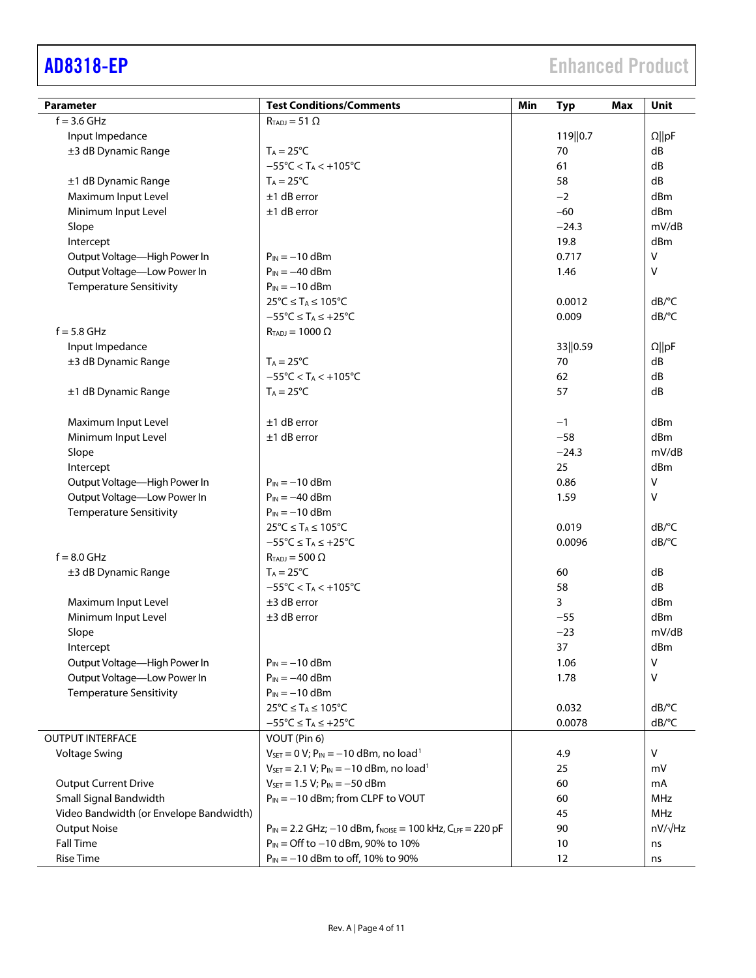| <b>Parameter</b>                        | <b>Test Conditions/Comments</b>                                            | Min<br><b>Typ</b><br>Max | Unit                  |
|-----------------------------------------|----------------------------------------------------------------------------|--------------------------|-----------------------|
| $f = 3.6$ GHz                           | $R_{TADJ} = 51 \Omega$                                                     |                          |                       |
| Input Impedance                         |                                                                            | 119  0.7                 | $\Omega$   pF         |
| ±3 dB Dynamic Range                     | $T_A = 25^{\circ}C$                                                        | 70                       | dB                    |
|                                         | $-55^{\circ}$ C < T <sub>A</sub> < $+105^{\circ}$ C                        | 61                       | dB                    |
| ±1 dB Dynamic Range                     | $T_A = 25^{\circ}C$                                                        | 58                       | dB                    |
| Maximum Input Level                     | $±1$ dB error                                                              | $-2$                     | dBm                   |
| Minimum Input Level                     | $±1$ dB error                                                              | $-60$                    | dBm                   |
| Slope                                   |                                                                            | $-24.3$                  | mV/dB                 |
| Intercept                               |                                                                            | 19.8                     | dBm                   |
| Output Voltage-High Power In            | $P_{IN} = -10$ dBm                                                         | 0.717                    | V                     |
| Output Voltage-Low Power In             | $P_{IN} = -40$ dBm                                                         | 1.46                     | $\vee$                |
| <b>Temperature Sensitivity</b>          | $P_{IN} = -10$ dBm                                                         |                          |                       |
|                                         | $25^{\circ}C \leq T_A \leq 105^{\circ}C$                                   | 0.0012                   | $dB$ <sup>o</sup> $C$ |
|                                         | $-55^{\circ}C \leq T_A \leq +25^{\circ}C$                                  | 0.009                    | dB/°C                 |
| $f = 5.8$ GHz                           | $R_{TADJ} = 1000 \Omega$                                                   |                          |                       |
| Input Impedance                         |                                                                            | 33  0.59                 | $\Omega$   pF         |
| ±3 dB Dynamic Range                     | $T_A = 25^{\circ}C$                                                        | 70                       | dB                    |
|                                         | $-55^{\circ}$ C < T <sub>A</sub> < +105 $^{\circ}$ C                       | 62                       | dB                    |
| ±1 dB Dynamic Range                     | $T_A = 25^{\circ}C$                                                        | 57                       | dB                    |
| Maximum Input Level                     | $±1$ dB error                                                              | $-1$                     | dBm                   |
| Minimum Input Level                     | $±1$ dB error                                                              | $-58$                    | dBm                   |
| Slope                                   |                                                                            | $-24.3$                  | mV/dB                 |
| Intercept                               |                                                                            | 25                       | dBm                   |
| Output Voltage-High Power In            | $P_{IN} = -10$ dBm                                                         | 0.86                     | $\mathsf{V}$          |
| Output Voltage-Low Power In             | $P_{IN} = -40$ dBm                                                         | 1.59                     | $\vee$                |
| <b>Temperature Sensitivity</b>          | $P_{IN} = -10$ dBm                                                         |                          |                       |
|                                         | $25^{\circ}C \leq T_A \leq 105^{\circ}C$                                   | 0.019                    | $dB$ <sup>o</sup> $C$ |
|                                         | $-55^{\circ}C \leq T_A \leq +25^{\circ}C$                                  | 0.0096                   | dB/°C                 |
| $f = 8.0$ GHz                           | $R_{TADJ} = 500 \Omega$                                                    |                          |                       |
| ±3 dB Dynamic Range                     | $T_A = 25^{\circ}C$                                                        | 60                       | dB                    |
|                                         | $-55^{\circ}$ C < T <sub>A</sub> < $+105^{\circ}$ C                        | 58                       | dB                    |
| Maximum Input Level                     | $±3$ dB error                                                              | 3                        | dBm                   |
| Minimum Input Level                     | $±3$ dB error                                                              | $-55$                    | dBm                   |
| Slope                                   |                                                                            | $-23$                    | mV/dB                 |
| Intercept                               |                                                                            | 37                       | dBm                   |
| Output Voltage-High Power In            | $P_{IN} = -10$ dBm                                                         | 1.06                     | $\vee$                |
| Output Voltage-Low Power In             | $P_{IN} = -40$ dBm                                                         | 1.78                     | $\vee$                |
| <b>Temperature Sensitivity</b>          | $P_{IN} = -10$ dBm                                                         |                          |                       |
|                                         | $25^{\circ}C \leq T_A \leq 105^{\circ}C$                                   | 0.032                    | $dB$ <sup>o</sup> $C$ |
|                                         | $-55^{\circ}$ C $\leq$ T <sub>A</sub> $\leq$ +25 $^{\circ}$ C              | 0.0078                   | dB/°C                 |
| <b>OUTPUT INTERFACE</b>                 | VOUT (Pin 6)                                                               |                          |                       |
| <b>Voltage Swing</b>                    | $V_{SET} = 0 V$ ; $P_{IN} = -10$ dBm, no load <sup>1</sup>                 | 4.9                      | V                     |
|                                         | $V_{\text{SET}} = 2.1 V$ ; $P_{\text{IN}} = -10$ dBm, no load <sup>1</sup> | 25                       | mV                    |
| <b>Output Current Drive</b>             | $V_{SET} = 1.5 V; P_{IN} = -50$ dBm                                        | 60                       | mA                    |
| Small Signal Bandwidth                  | $P_{IN} = -10$ dBm; from CLPF to VOUT                                      | 60                       | <b>MHz</b>            |
| Video Bandwidth (or Envelope Bandwidth) |                                                                            | 45                       | MHz                   |
| <b>Output Noise</b>                     | $P_{IN} = 2.2$ GHz; $-10$ dBm, $f_{NOISE} = 100$ kHz, $C_{LPF} = 220$ pF   | 90                       | $nV/\sqrt{Hz}$        |
| <b>Fall Time</b>                        | P <sub>IN</sub> = Off to -10 dBm, 90% to 10%                               | 10                       | ns                    |
| <b>Rise Time</b>                        | $P_{IN} = -10$ dBm to off, 10% to 90%                                      | 12                       | ns                    |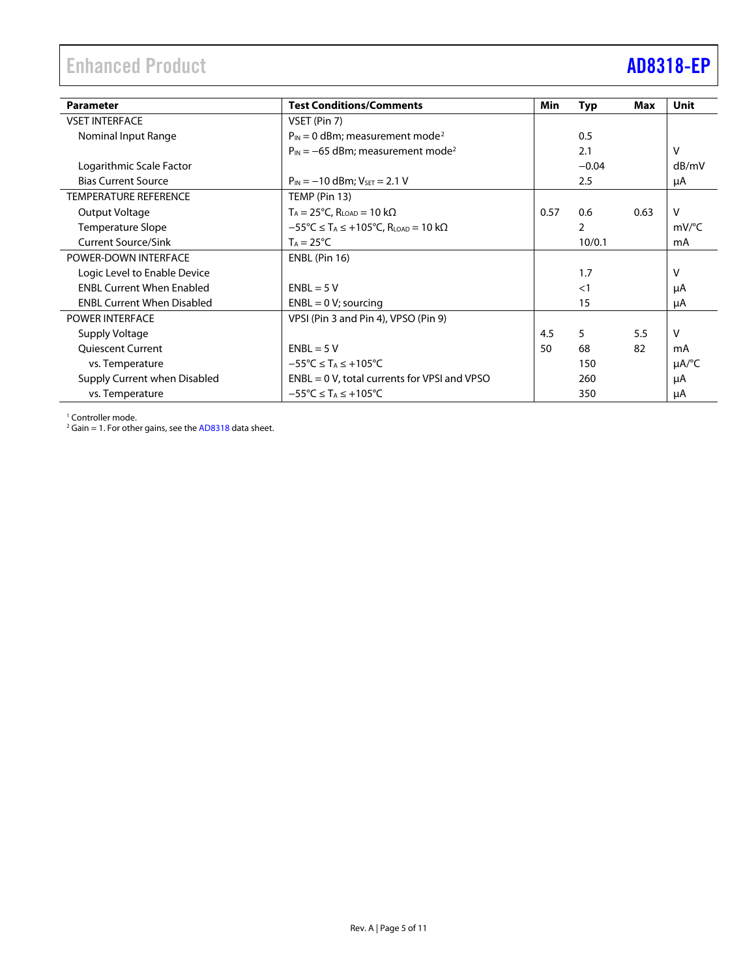## <span id="page-4-0"></span>Enhanced Product **[AD8318-EP](https://www.analog.com/AD8318)**

| <b>Parameter</b>                  | <b>Test Conditions/Comments</b>                                                        | <b>Min</b> | <b>Typ</b>     | Max  | <b>Unit</b>            |
|-----------------------------------|----------------------------------------------------------------------------------------|------------|----------------|------|------------------------|
|                                   |                                                                                        |            |                |      |                        |
| <b>VSET INTERFACE</b>             | VSET (Pin 7)                                                                           |            |                |      |                        |
| Nominal Input Range               | $P_{IN} = 0$ dBm; measurement mode <sup>2</sup>                                        |            | 0.5            |      |                        |
|                                   | $P_{IN} = -65$ dBm; measurement mode <sup>2</sup>                                      |            | 2.1            |      | v                      |
| Logarithmic Scale Factor          |                                                                                        |            | $-0.04$        |      | dB/mV                  |
| <b>Bias Current Source</b>        | $P_{IN} = -10$ dBm; $V_{SET} = 2.1$ V                                                  |            | 2.5            |      | μA                     |
| <b>TEMPERATURE REFERENCE</b>      | TEMP (Pin 13)                                                                          |            |                |      |                        |
| Output Voltage                    | $T_A = 25^{\circ}C$ , $R_{LOAD} = 10 \text{ k}\Omega$                                  | 0.57       | 0.6            | 0.63 | $\vee$                 |
| <b>Temperature Slope</b>          | $-55^{\circ}$ C $\leq$ T <sub>A</sub> $\leq$ +105°C, R <sub>LOAD</sub> = 10 k $\Omega$ |            | $\overline{2}$ |      | mV/°C                  |
| <b>Current Source/Sink</b>        | $T_A = 25^{\circ}C$                                                                    |            | 10/0.1         |      | mA                     |
| POWER-DOWN INTERFACE              | ENBL (Pin 16)                                                                          |            |                |      |                        |
| Logic Level to Enable Device      |                                                                                        |            | 1.7            |      | v                      |
| <b>ENBL Current When Enabled</b>  | $ENBL = 5 V$                                                                           |            | $\leq$ 1       |      | μA                     |
| <b>ENBL Current When Disabled</b> | $ENBL = 0 V;$ sourcing                                                                 |            | 15             |      | μA                     |
| <b>POWER INTERFACE</b>            | VPSI (Pin 3 and Pin 4), VPSO (Pin 9)                                                   |            |                |      |                        |
| Supply Voltage                    |                                                                                        | 4.5        | 5              | 5.5  | v                      |
| <b>Quiescent Current</b>          | $ENBL = 5 V$                                                                           | 50         | 68             | 82   | mA                     |
| vs. Temperature                   | $-55^{\circ}$ C $\leq$ T <sub>A</sub> $\leq$ +105°C                                    |            | 150            |      | $\mu A$ <sup>o</sup> C |
| Supply Current when Disabled      | $ENBL = 0 V$ , total currents for VPSI and VPSO                                        |            | 260            |      | μA                     |
| vs. Temperature                   | $-55^{\circ}$ C $\leq$ T <sub>A</sub> $\leq$ +105°C                                    |            | 350            |      | μA                     |

<span id="page-4-1"></span><sup>1</sup> Controller mode.

<sup>2</sup> Gain = 1. For other gains, see th[e AD8318](http://www.analog.com/AD8318) data sheet.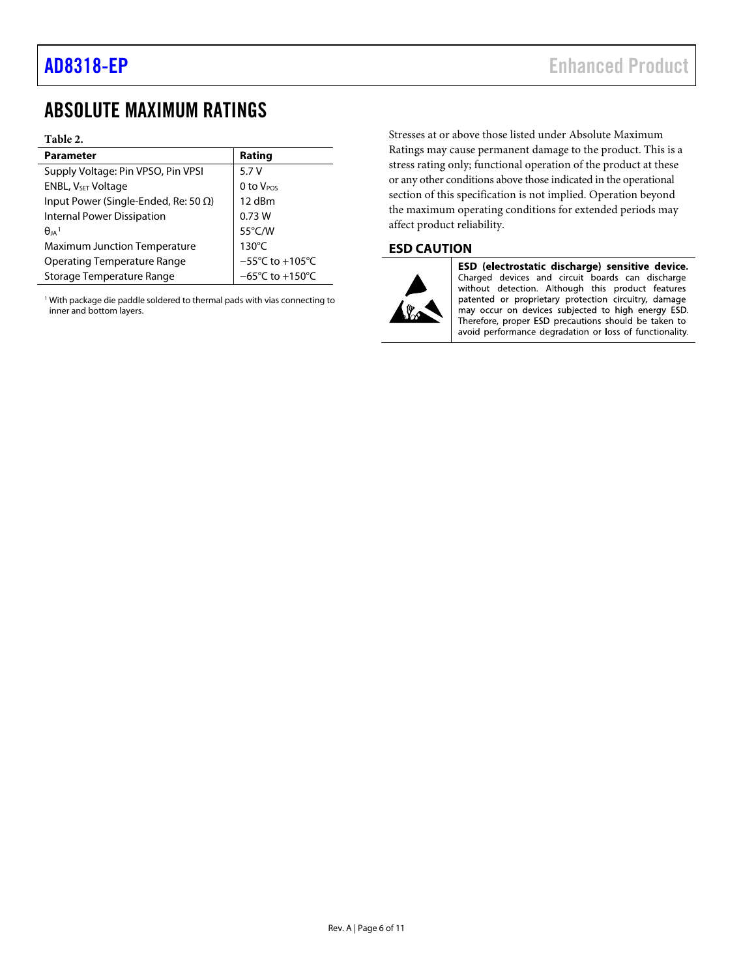## <span id="page-5-0"></span>ABSOLUTE MAXIMUM RATINGS

### **Table 2.**

| <b>Parameter</b>                             | Rating                               |
|----------------------------------------------|--------------------------------------|
| Supply Voltage: Pin VPSO, Pin VPSI           | 5.7 V                                |
| ENBL, V <sub>SET</sub> Voltage               | 0 to $V_{POS}$                       |
| Input Power (Single-Ended, Re: 50 $\Omega$ ) | 12 dBm                               |
| Internal Power Dissipation                   | 0.73W                                |
| $\theta_{IA}$ <sup>1</sup>                   | 55°C/W                               |
| <b>Maximum Junction Temperature</b>          | $130^{\circ}$ C                      |
| <b>Operating Temperature Range</b>           | $-55^{\circ}$ C to +105 $^{\circ}$ C |
| <b>Storage Temperature Range</b>             | $-65^{\circ}$ C to +150 $^{\circ}$ C |

<sup>1</sup> With package die paddle soldered to thermal pads with vias connecting to inner and bottom layers.

Stresses at or above those listed under Absolute Maximum Ratings may cause permanent damage to the product. This is a stress rating only; functional operation of the product at these or any other conditions above those indicated in the operational section of this specification is not implied. Operation beyond the maximum operating conditions for extended periods may affect product reliability.

### <span id="page-5-1"></span>**ESD CAUTION**



ESD (electrostatic discharge) sensitive device. Charged devices and circuit boards can discharge without detection. Although this product features patented or proprietary protection circuitry, damage may occur on devices subjected to high energy ESD. Therefore, proper ESD precautions should be taken to avoid performance degradation or loss of functionality.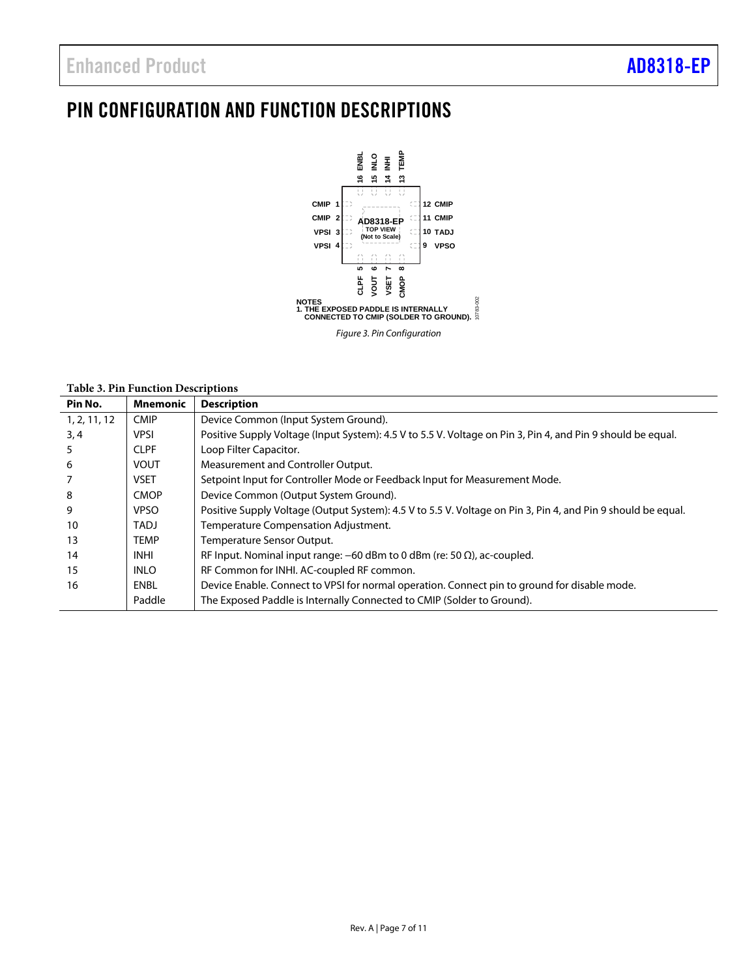## <span id="page-6-0"></span>PIN CONFIGURATION AND FUNCTION DESCRIPTIONS



### **Table 3. Pin Function Descriptions**

| Pin No.      | <b>Mnemonic</b> | <b>Description</b>                                                                                           |
|--------------|-----------------|--------------------------------------------------------------------------------------------------------------|
| 1, 2, 11, 12 | <b>CMIP</b>     | Device Common (Input System Ground).                                                                         |
| 3,4          | <b>VPSI</b>     | Positive Supply Voltage (Input System): 4.5 V to 5.5 V. Voltage on Pin 3, Pin 4, and Pin 9 should be equal.  |
| 5            | <b>CLPF</b>     | Loop Filter Capacitor.                                                                                       |
| 6            | <b>VOUT</b>     | Measurement and Controller Output.                                                                           |
|              | <b>VSET</b>     | Setpoint Input for Controller Mode or Feedback Input for Measurement Mode.                                   |
| 8            | <b>CMOP</b>     | Device Common (Output System Ground).                                                                        |
| 9            | <b>VPSO</b>     | Positive Supply Voltage (Output System): 4.5 V to 5.5 V. Voltage on Pin 3, Pin 4, and Pin 9 should be equal. |
| 10           | TADJ            | Temperature Compensation Adjustment.                                                                         |
| 13           | <b>TEMP</b>     | Temperature Sensor Output.                                                                                   |
| 14           | <b>INHI</b>     | RF Input. Nominal input range: $-60$ dBm to 0 dBm (re: 50 $\Omega$ ), ac-coupled.                            |
| 15           | <b>INLO</b>     | RF Common for INHI. AC-coupled RF common.                                                                    |
| 16           | ENBL            | Device Enable. Connect to VPSI for normal operation. Connect pin to ground for disable mode.                 |
|              | Paddle          | The Exposed Paddle is Internally Connected to CMIP (Solder to Ground).                                       |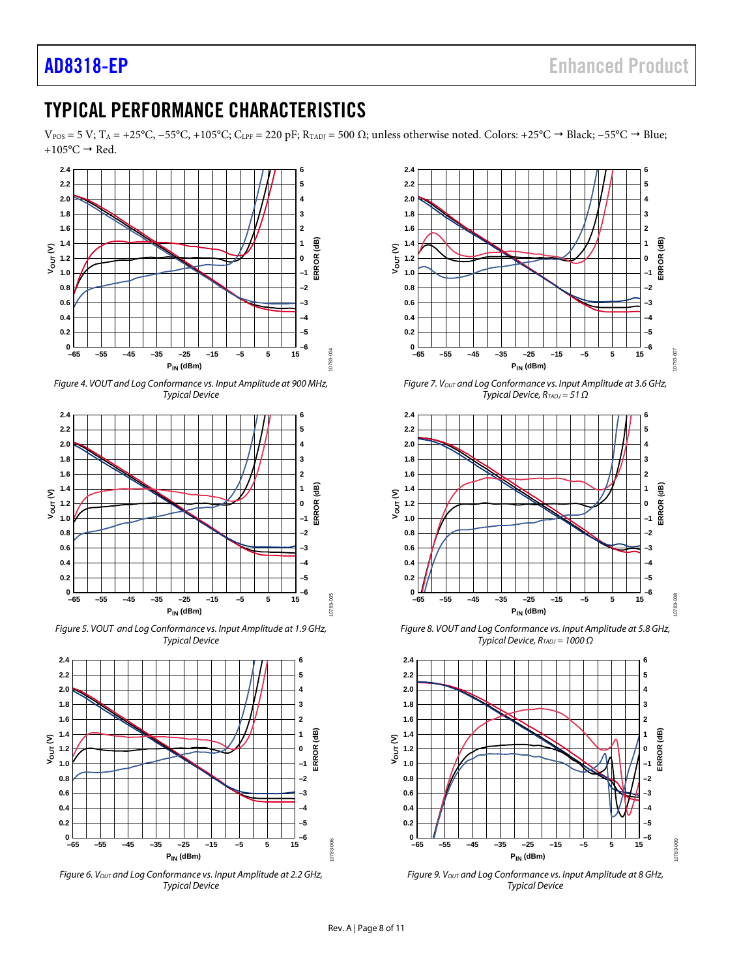## <span id="page-7-0"></span>TYPICAL PERFORMANCE CHARACTERISTICS

 $V_{POS}$  = 5 V; T<sub>A</sub> = +25°C, −55°C, +105°C; C<sub>LPF</sub> = 220 pF; R<sub>TADJ</sub> = 500 Ω; unless otherwise noted. Colors: +25°C → Black; −55°C → Blue; +105 $\degree$ C  $\rightarrow$  Red.



*Figure 4. VOUT and Log Conformance vs. Input Amplitude at 900 MHz, Typical Device*



*Figure 5. VOUT and Log Conformance vs. Input Amplitude at 1.9 GHz, Typical Device*



*Figure 6. VOUT and Log Conformance vs. Input Amplitude at 2.2 GHz, Typical Device*



*Figure 7. Vout and Log Conformance vs. Input Amplitude at 3.6 GHz, Typical Device, RTADJ = 51 Ω*



*Figure 8. VOUT and Log Conformance vs. Input Amplitude at 5.8 GHz, Typical Device, R<sub>TADJ</sub>* = 1000 Ω



*Figure 9. VOUT and Log Conformance vs. Input Amplitude at 8 GHz, Typical Device*

10783-006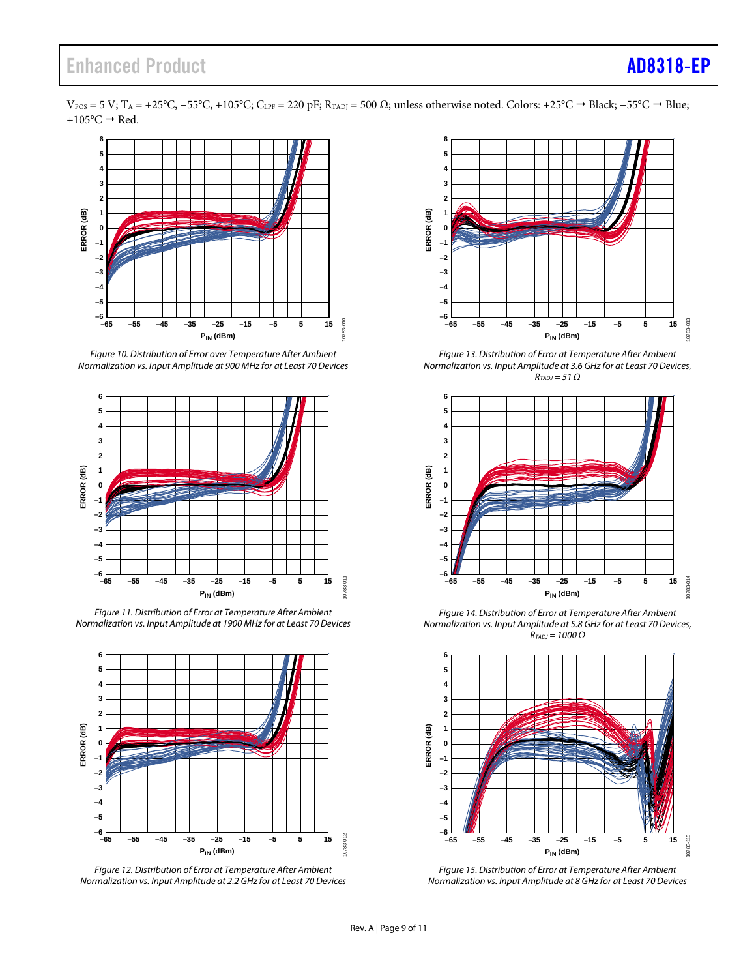$V_{\rm POS}$  = 5 V; T<sub>A</sub> = +25°C, −55°C, +105°C; C<sub>LPF</sub> = 220 pF; R<sub>TADJ</sub> = 500  $\Omega$ ; unless otherwise noted. Colors: +25°C  $\rightarrow$  Black; −55°C  $\rightarrow$  Blue;  $+105$ °C  $\rightarrow$  Red.



*Figure 10. Distribution of Error over Temperature After Ambient Normalization vs. Input Amplitude at 900 MHz for at Least 70 Devices*



*Figure 11. Distribution of Error at Temperature After Ambient Normalization vs. Input Amplitude at 1900 MHz for at Least 70 Devices*



*Figure 12. Distribution of Error at Temperature After Ambient Normalization vs. Input Amplitude at 2.2 GHz for at Least 70 Devices*



*Figure 13. Distribution of Error at Temperature After Ambient Normalization vs. Input Amplitude at 3.6 GHz for at Least 70 Devices, RTADJ = 51 Ω*



*Figure 14. Distribution of Error at Temperature After Ambient Normalization vs. Input Amplitude at 5.8 GHz for at Least 70 Devices, RTADJ = 1000 Ω*



*Figure 15. Distribution of Error at Temperature After Ambient Normalization vs. Input Amplitude at 8 GHz for at Least 70 Devices*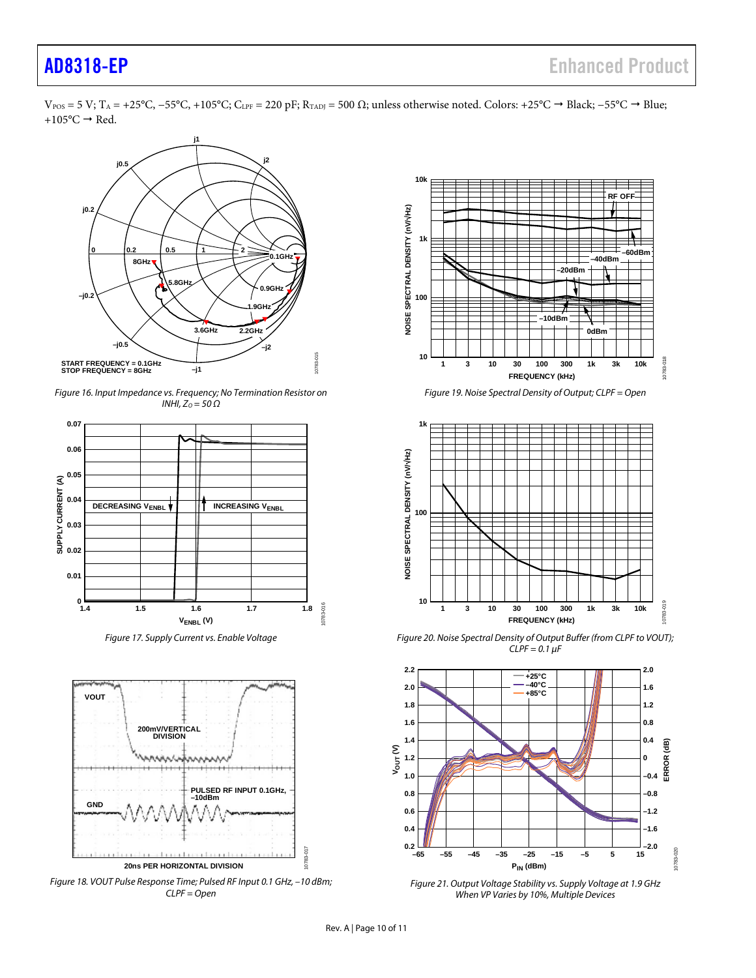$V_{\rm POS}$  = 5 V; T<sub>A</sub> = +25°C, −55°C, +105°C; C<sub>LPF</sub> = 220 pF; R<sub>TADJ</sub> = 500  $\Omega$ ; unless otherwise noted. Colors: +25°C  $\rightarrow$  Black; −55°C  $\rightarrow$  Blue; +105 $\degree$ C  $\rightarrow$  Red.



*Figure 16. Input Impedance vs. Frequency; No Termination Resistor on INHI, ZO = 50 Ω*



*Figure 17. Supply Current vs. Enable Voltage*



<span id="page-9-0"></span>*Figure 18. VOUT Pulse Response Time; Pulsed RF Input 0.1 GHz, –10 dBm; CLPF = Open*



*Figure 19. Noise Spectral Density of Output; CLPF = Open*



*Figure 20. Noise Spectral Density of Output Buffer (from CLPF to VOUT); CLPF = 0.1 µF*



*Figure 21. Output Voltage Stability vs. Supply Voltage at 1.9 GHz When VP Varies by 10%, Multiple Devices*